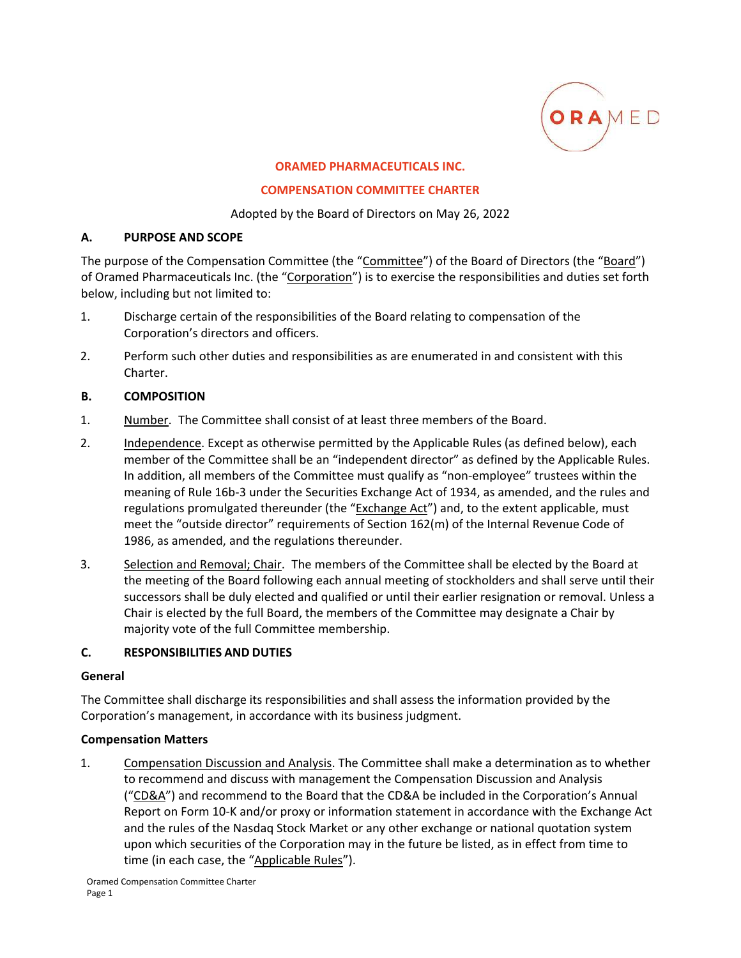

#### **ORAMED PHARMACEUTICALS INC.**

#### **COMPENSATION COMMITTEE CHARTER**

Adopted by the Board of Directors on May 26, 2022

### **A. PURPOSE AND SCOPE**

The purpose of the Compensation Committee (the "Committee") of the Board of Directors (the "Board") of Oramed Pharmaceuticals Inc. (the "Corporation") is to exercise the responsibilities and duties set forth below, including but not limited to:

- 1. Discharge certain of the responsibilities of the Board relating to compensation of the Corporation's directors and officers.
- 2. Perform such other duties and responsibilities as are enumerated in and consistent with this Charter.

### **B. COMPOSITION**

- 1. Number. The Committee shall consist of at least three members of the Board.
- 2. Independence. Except as otherwise permitted by the Applicable Rules (as defined below), each member of the Committee shall be an "independent director" as defined by the Applicable Rules. In addition, all members of the Committee must qualify as "non-employee" trustees within the meaning of Rule 16b-3 under the Securities Exchange Act of 1934, as amended, and the rules and regulations promulgated thereunder (the "Exchange Act") and, to the extent applicable, must meet the "outside director" requirements of Section 162(m) of the Internal Revenue Code of 1986, as amended, and the regulations thereunder.
- 3. Selection and Removal; Chair. The members of the Committee shall be elected by the Board at the meeting of the Board following each annual meeting of stockholders and shall serve until their successors shall be duly elected and qualified or until their earlier resignation or removal. Unless a Chair is elected by the full Board, the members of the Committee may designate a Chair by majority vote of the full Committee membership.

### **C. RESPONSIBILITIES AND DUTIES**

### **General**

The Committee shall discharge its responsibilities and shall assess the information provided by the Corporation's management, in accordance with its business judgment.

### **Compensation Matters**

1. Compensation Discussion and Analysis. The Committee shall make a determination as to whether to recommend and discuss with management the Compensation Discussion and Analysis ("CD&A") and recommend to the Board that the CD&A be included in the Corporation's Annual Report on Form 10‐K and/or proxy or information statement in accordance with the Exchange Act and the rules of the Nasdaq Stock Market or any other exchange or national quotation system upon which securities of the Corporation may in the future be listed, as in effect from time to time (in each case, the "Applicable Rules").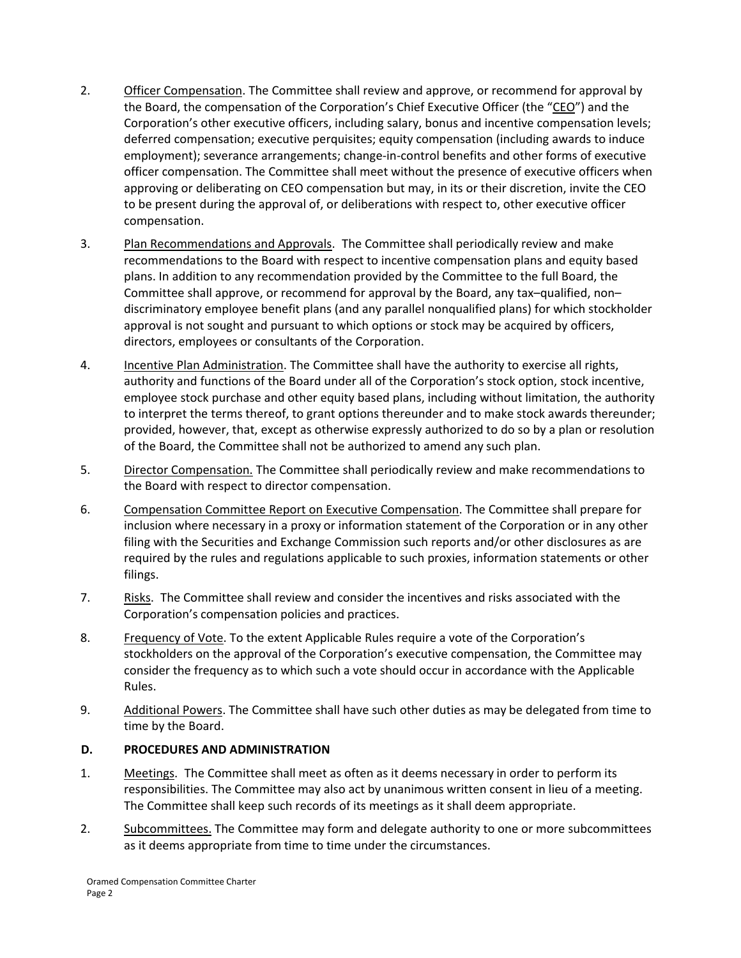- 2. Officer Compensation. The Committee shall review and approve, or recommend for approval by the Board, the compensation of the Corporation's Chief Executive Officer (the "CEO") and the Corporation's other executive officers, including salary, bonus and incentive compensation levels; deferred compensation; executive perquisites; equity compensation (including awards to induce employment); severance arrangements; change‐in‐control benefits and other forms of executive officer compensation. The Committee shall meet without the presence of executive officers when approving or deliberating on CEO compensation but may, in its or their discretion, invite the CEO to be present during the approval of, or deliberations with respect to, other executive officer compensation.
- 3. Plan Recommendations and Approvals. The Committee shall periodically review and make recommendations to the Board with respect to incentive compensation plans and equity based plans. In addition to any recommendation provided by the Committee to the full Board, the Committee shall approve, or recommend for approval by the Board, any tax–qualified, non– discriminatory employee benefit plans (and any parallel nonqualified plans) for which stockholder approval is not sought and pursuant to which options or stock may be acquired by officers, directors, employees or consultants of the Corporation.
- 4. Incentive Plan Administration. The Committee shall have the authority to exercise all rights, authority and functions of the Board under all of the Corporation's stock option, stock incentive, employee stock purchase and other equity based plans, including without limitation, the authority to interpret the terms thereof, to grant options thereunder and to make stock awards thereunder; provided, however, that, except as otherwise expressly authorized to do so by a plan or resolution of the Board, the Committee shall not be authorized to amend any such plan.
- 5. Director Compensation. The Committee shall periodically review and make recommendations to the Board with respect to director compensation.
- 6. Compensation Committee Report on Executive Compensation. The Committee shall prepare for inclusion where necessary in a proxy or information statement of the Corporation or in any other filing with the Securities and Exchange Commission such reports and/or other disclosures as are required by the rules and regulations applicable to such proxies, information statements or other filings.
- 7. Risks. The Committee shall review and consider the incentives and risks associated with the Corporation's compensation policies and practices.
- 8. Frequency of Vote. To the extent Applicable Rules require a vote of the Corporation's stockholders on the approval of the Corporation's executive compensation, the Committee may consider the frequency as to which such a vote should occur in accordance with the Applicable Rules.
- 9. Additional Powers. The Committee shall have such other duties as may be delegated from time to time by the Board.

## **D. PROCEDURES AND ADMINISTRATION**

- 1. Meetings. The Committee shall meet as often as it deems necessary in order to perform its responsibilities. The Committee may also act by unanimous written consent in lieu of a meeting. The Committee shall keep such records of its meetings as it shall deem appropriate.
- 2. Subcommittees. The Committee may form and delegate authority to one or more subcommittees as it deems appropriate from time to time under the circumstances.